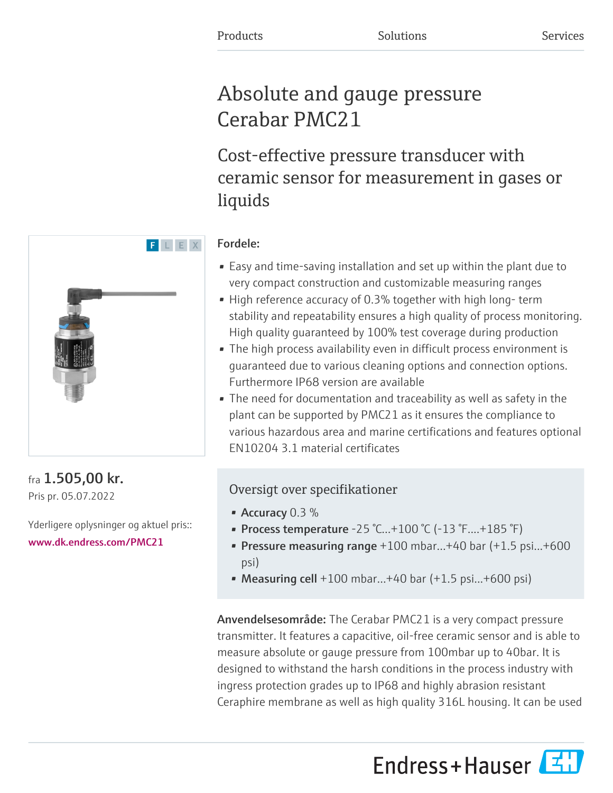# Absolute and gauge pressure Cerabar PMC21

Cost-effective pressure transducer with ceramic sensor for measurement in gases or liquids

# Fordele:

- Easy and time-saving installation and set up within the plant due to very compact construction and customizable measuring ranges
- High reference accuracy of 0.3% together with high long- term stability and repeatability ensures a high quality of process monitoring. High quality guaranteed by 100% test coverage during production
- The high process availability even in difficult process environment is guaranteed due to various cleaning options and connection options. Furthermore IP68 version are available
- The need for documentation and traceability as well as safety in the plant can be supported by PMC21 as it ensures the compliance to various hazardous area and marine certifications and features optional EN10204 3.1 material certificates

# Oversigt over specifikationer

- Accuracy  $0.3\%$
- Process temperature -25 °C...+100 °C (-13 °F....+185 °F)
- Pressure measuring range  $+100$  mbar... $+40$  bar  $(+1.5$  psi... $+600$ psi)
- Measuring cell  $+100$  mbar... $+40$  bar  $(+1.5 \text{ psi}$ ... $+600 \text{ psi}$ )

Anvendelsesområde: The Cerabar PMC21 is a very compact pressure transmitter. It features a capacitive, oil-free ceramic sensor and is able to measure absolute or gauge pressure from 100mbar up to 40bar. It is designed to withstand the harsh conditions in the process industry with ingress protection grades up to IP68 and highly abrasion resistant Ceraphire membrane as well as high quality 316L housing. It can be used

Endress+Hauser



# fra 1.505,00 kr. Pris pr. 05.07.2022

Yderligere oplysninger og aktuel pris:: [www.dk.endress.com/PMC21](https://www.dk.endress.com/PMC21)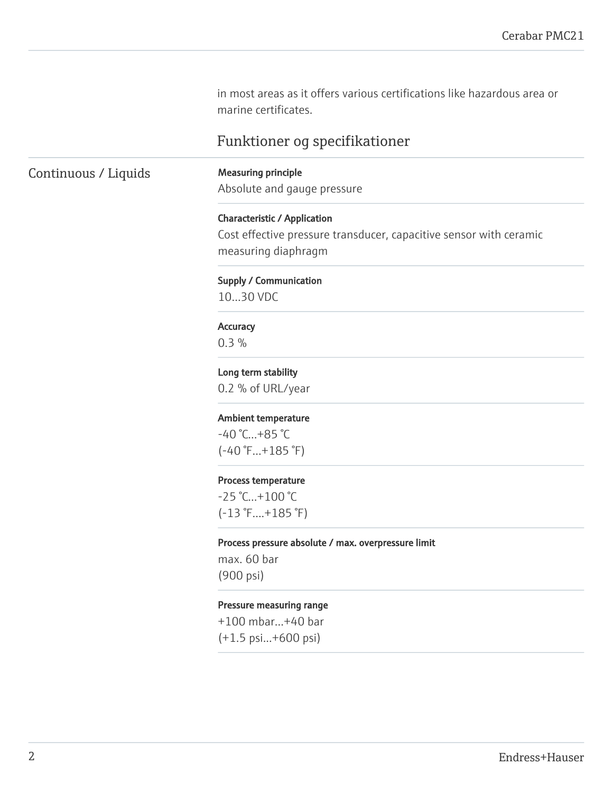in most areas as it offers various certifications like hazardous area or marine certificates.

# Funktioner og specifikationer

Continuous / Liquids Measuring principle

Absolute and gauge pressure

Characteristic / Application

Cost effective pressure transducer, capacitive sensor with ceramic measuring diaphragm

Supply / Communication

10…30 VDC

# **Accuracy**

0.3 %

Long term stability 0.2 % of URL/year

#### Ambient temperature

-40 °C…+85 °C (-40 °F…+185 °F)

#### Process temperature

-25 °C…+100 °C (-13 °F....+185 °F)

#### Process pressure absolute / max. overpressure limit

max. 60 bar (900 psi)

### Pressure measuring range

+100 mbar…+40 bar

(+1.5 psi...+600 psi)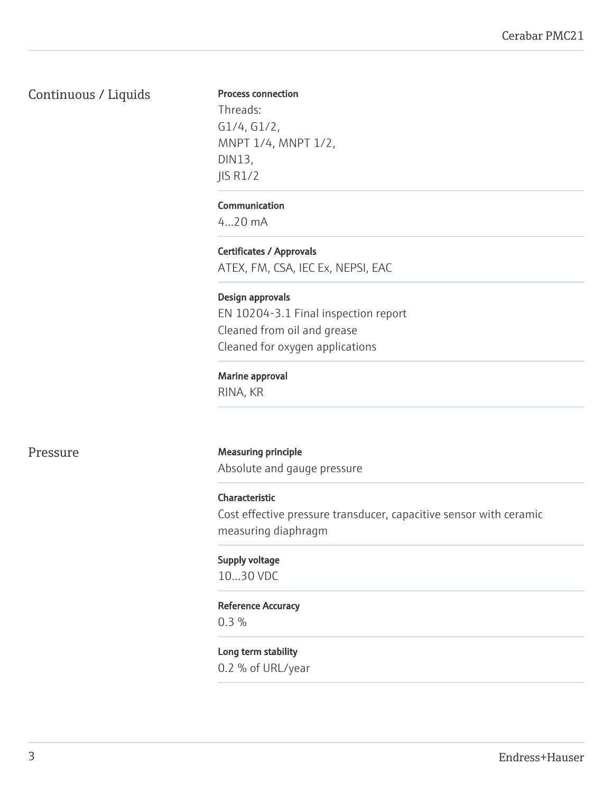# Continuous / Liquids

#### Process connection

Threads: G1/4, G1/2, MNPT 1/4, MNPT 1/2, DIN13, JIS R1/2

# Communication

4...20 mA

Certificates / Approvals ATEX, FM, CSA, IEC Ex, NEPSI, EAC

# Design approvals

EN 10204-3.1 Final inspection report Cleaned from oil and grease Cleaned for oxygen applications

# Marine approval

RINA, KR

# Pressure **Measuring principle**

Absolute and gauge pressure

# Characteristic

Cost effective pressure transducer, capacitive sensor with ceramic measuring diaphragm

# Supply voltage

10…30 VDC

# Reference Accuracy

0.3 %

# Long term stability 0.2 % of URL/year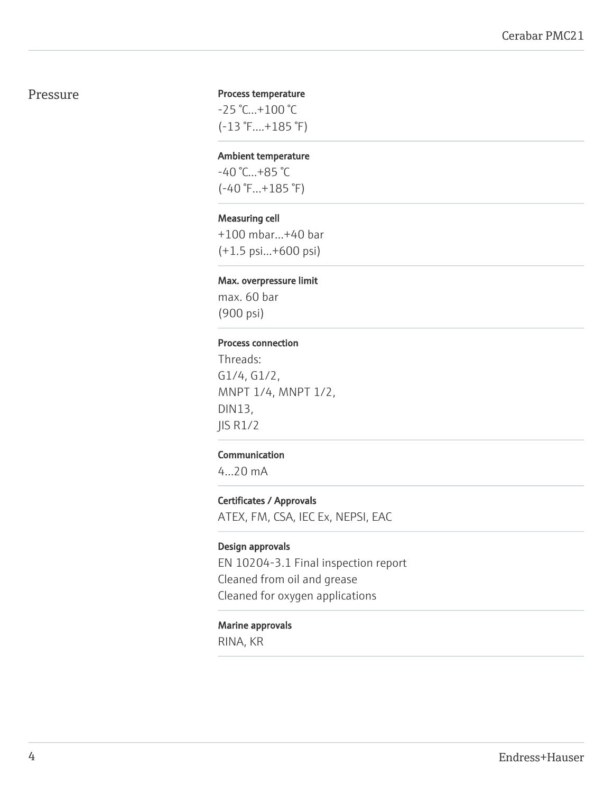# Pressure

### Process temperature

-25 °C…+100 °C (-13 °F....+185 °F)

#### Ambient temperature

-40 °C…+85 °C (-40 °F…+185 °F)

### Measuring cell

+100 mbar…+40 bar (+1.5 psi...+600 psi)

# Max. overpressure limit

max. 60 bar (900 psi)

#### Process connection

Threads: G1/4, G1/2, MNPT 1/4, MNPT 1/2, DIN13, JIS R1/2

# Communication

4...20 mA

# Certificates / Approvals

ATEX, FM, CSA, IEC Ex, NEPSI, EAC

# Design approvals

EN 10204-3.1 Final inspection report Cleaned from oil and grease Cleaned for oxygen applications

#### Marine approvals

RINA, KR